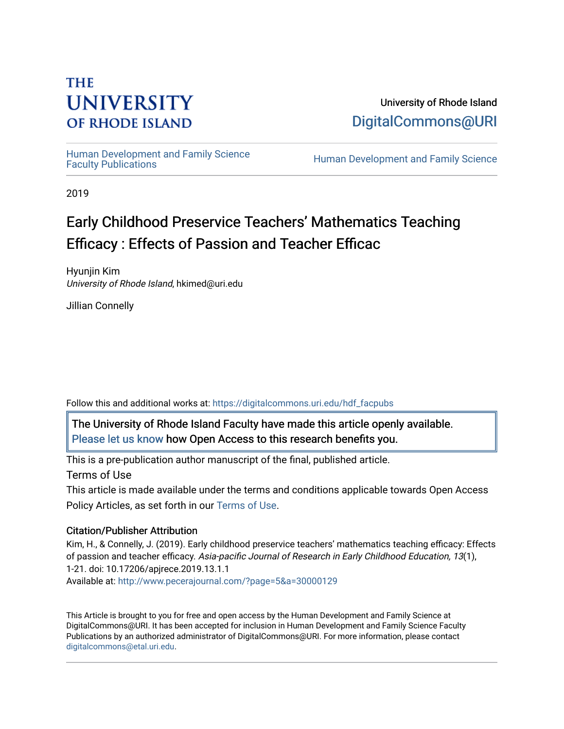# **THE UNIVERSITY OF RHODE ISLAND**

University of Rhode Island [DigitalCommons@URI](https://digitalcommons.uri.edu/) 

Human Development and Family Science<br>Faculty Publications

Human Development and Family Science

2019

# Early Childhood Preservice Teachers' Mathematics Teaching Efficacy : Effects of Passion and Teacher Efficac

Hyunjin Kim University of Rhode Island, hkimed@uri.edu

Jillian Connelly

Follow this and additional works at: [https://digitalcommons.uri.edu/hdf\\_facpubs](https://digitalcommons.uri.edu/hdf_facpubs?utm_source=digitalcommons.uri.edu%2Fhdf_facpubs%2F45&utm_medium=PDF&utm_campaign=PDFCoverPages) 

The University of Rhode Island Faculty have made this article openly available. [Please let us know](http://web.uri.edu/library-digital-initiatives/open-access-online-form/) how Open Access to this research benefits you.

This is a pre-publication author manuscript of the final, published article.

Terms of Use

This article is made available under the terms and conditions applicable towards Open Access Policy Articles, as set forth in our [Terms of Use](https://digitalcommons.uri.edu/hdf_facpubs/oa_policy_terms.html).

# Citation/Publisher Attribution

Kim, H., & Connelly, J. (2019). Early childhood preservice teachers' mathematics teaching efficacy: Effects of passion and teacher efficacy. Asia-pacific Journal of Research in Early Childhood Education, 13(1), 1-21. doi: 10.17206/apjrece.2019.13.1.1 Available at:<http://www.pecerajournal.com/?page=5&a=30000129>

This Article is brought to you for free and open access by the Human Development and Family Science at DigitalCommons@URI. It has been accepted for inclusion in Human Development and Family Science Faculty Publications by an authorized administrator of DigitalCommons@URI. For more information, please contact [digitalcommons@etal.uri.edu](mailto:digitalcommons@etal.uri.edu).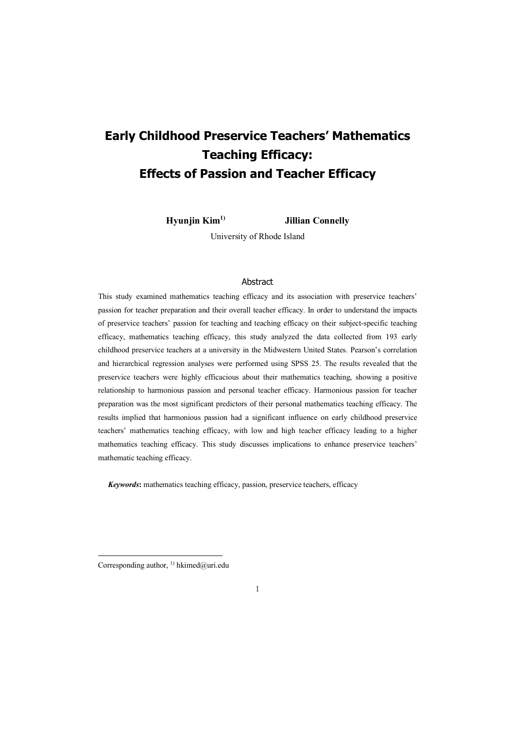**Hyunjin Kim1) Jillian Connelly**

University of Rhode Island

### Abstract

This study examined mathematics teaching efficacy and its association with preservice teachers' passion for teacher preparation and their overall teacher efficacy. In order to understand the impacts of preservice teachers' passion for teaching and teaching efficacy on their subject-specific teaching efficacy, mathematics teaching efficacy, this study analyzed the data collected from 193 early childhood preservice teachers at a university in the Midwestern United States. Pearson's correlation and hierarchical regression analyses were performed using SPSS 25. The results revealed that the preservice teachers were highly efficacious about their mathematics teaching, showing a positive relationship to harmonious passion and personal teacher efficacy. Harmonious passion for teacher preparation was the most significant predictors of their personal mathematics teaching efficacy. The results implied that harmonious passion had a significant influence on early childhood preservice teachers' mathematics teaching efficacy, with low and high teacher efficacy leading to a higher mathematics teaching efficacy. This study discusses implications to enhance preservice teachers' mathematic teaching efficacy.

 *Keywords***:** mathematics teaching efficacy, passion, preservice teachers, efficacy

Corresponding author, <sup>1)</sup> hkimed@uri.edu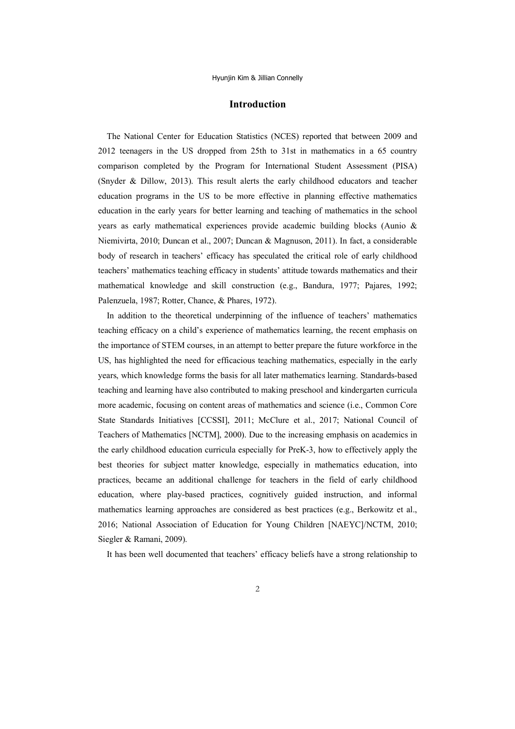### **Introduction**

The National Center for Education Statistics (NCES) reported that between 2009 and 2012 teenagers in the US dropped from 25th to 31st in mathematics in a 65 country comparison completed by the Program for International Student Assessment (PISA) (Snyder & Dillow, 2013). This result alerts the early childhood educators and teacher education programs in the US to be more effective in planning effective mathematics education in the early years for better learning and teaching of mathematics in the school years as early mathematical experiences provide academic building blocks (Aunio & Niemivirta, 2010; Duncan et al., 2007; Duncan & Magnuson, 2011). In fact, a considerable body of research in teachers' efficacy has speculated the critical role of early childhood teachers' mathematics teaching efficacy in students' attitude towards mathematics and their mathematical knowledge and skill construction (e.g., Bandura, 1977; Pajares, 1992; Palenzuela, 1987; Rotter, Chance, & Phares, 1972).

In addition to the theoretical underpinning of the influence of teachers' mathematics teaching efficacy on a child's experience of mathematics learning, the recent emphasis on the importance of STEM courses, in an attempt to better prepare the future workforce in the US, has highlighted the need for efficacious teaching mathematics, especially in the early years, which knowledge forms the basis for all later mathematics learning. Standards-based teaching and learning have also contributed to making preschool and kindergarten curricula more academic, focusing on content areas of mathematics and science (i.e., Common Core State Standards Initiatives [CCSSI], 2011; McClure et al., 2017; National Council of Teachers of Mathematics [NCTM], 2000). Due to the increasing emphasis on academics in the early childhood education curricula especially for PreK-3, how to effectively apply the best theories for subject matter knowledge, especially in mathematics education, into practices, became an additional challenge for teachers in the field of early childhood education, where play-based practices, cognitively guided instruction, and informal mathematics learning approaches are considered as best practices (e.g., Berkowitz et al., 2016; National Association of Education for Young Children [NAEYC]/NCTM, 2010; Siegler & Ramani, 2009).

It has been well documented that teachers' efficacy beliefs have a strong relationship to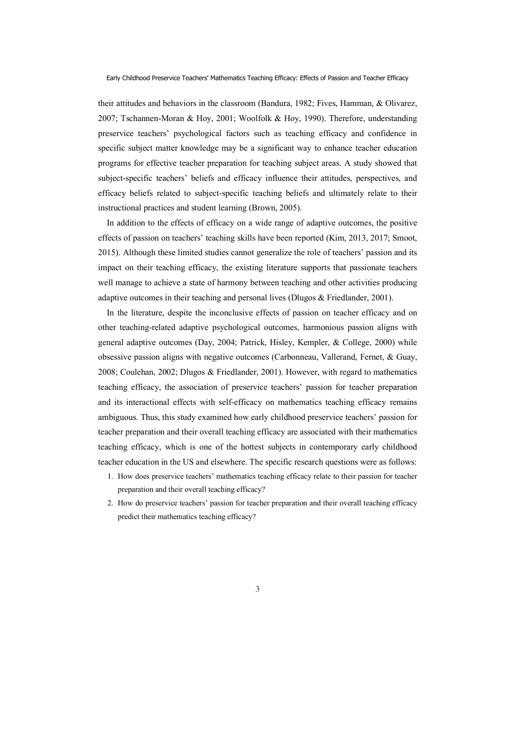their attitudes and behaviors in the classroom (Bandura, 1982; Fives, Hamman, & Olivarez, 2007; Tschannen-Moran & Hoy, 2001; Woolfolk & Hoy, 1990). Therefore, understanding preservice teachers' psychological factors such as teaching efficacy and confidence in specific subject matter knowledge may be a significant way to enhance teacher education programs for effective teacher preparation for teaching subject areas. A study showed that subject-specific teachers' beliefs and efficacy influence their attitudes, perspectives, and efficacy beliefs related to subject-specific teaching beliefs and ultimately relate to their instructional practices and student learning (Brown, 2005).

In addition to the effects of efficacy on a wide range of adaptive outcomes, the positive effects of passion on teachers' teaching skills have been reported (Kim, 2013, 2017; Smoot, 2015). Although these limited studies cannot generalize the role of teachers' passion and its impact on their teaching efficacy, the existing literature supports that passionate teachers well manage to achieve a state of harmony between teaching and other activities producing adaptive outcomes in their teaching and personal lives (Dlugos & Friedlander, 2001).

In the literature, despite the inconclusive effects of passion on teacher efficacy and on other teaching-related adaptive psychological outcomes, harmonious passion aligns with general adaptive outcomes (Day, 2004; Patrick, Hisley, Kempler, & College, 2000) while obsessive passion aligns with negative outcomes (Carbonneau, Vallerand, Fernet, & Guay, 2008; Coulehan, 2002; Dlugos & Friedlander, 2001). However, with regard to mathematics teaching efficacy, the association of preservice teachers' passion for teacher preparation and its interactional effects with self-efficacy on mathematics teaching efficacy remains ambiguous. Thus, this study examined how early childhood preservice teachers' passion for teacher preparation and their overall teaching efficacy are associated with their mathematics teaching efficacy, which is one of the hottest subjects in contemporary early childhood teacher education in the US and elsewhere. The specific research questions were as follows:

- 1. How does preservice teachers' mathematics teaching efficacy relate to their passion for teacher preparation and their overall teaching efficacy?
- 2. How do preservice teachers' passion for teacher preparation and their overall teaching efficacy predict their mathematics teaching efficacy?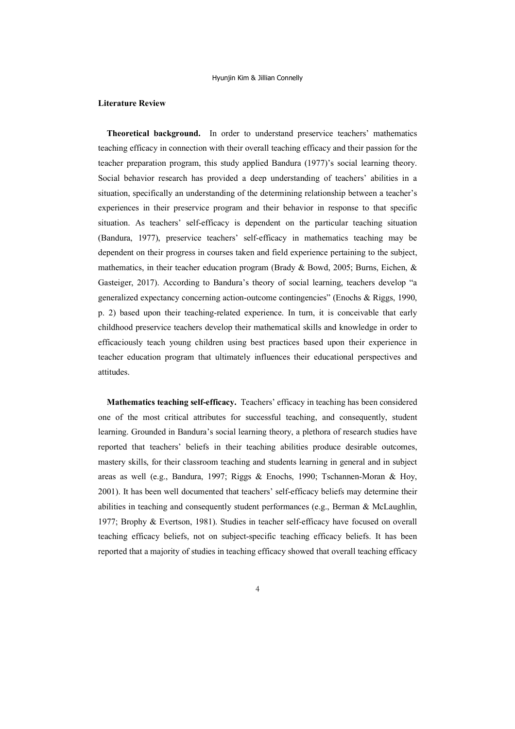#### **Literature Review**

**Theoretical background.** In order to understand preservice teachers' mathematics teaching efficacy in connection with their overall teaching efficacy and their passion for the teacher preparation program, this study applied Bandura (1977)'s social learning theory. Social behavior research has provided a deep understanding of teachers' abilities in a situation, specifically an understanding of the determining relationship between a teacher's experiences in their preservice program and their behavior in response to that specific situation. As teachers' self-efficacy is dependent on the particular teaching situation (Bandura, 1977), preservice teachers' self-efficacy in mathematics teaching may be dependent on their progress in courses taken and field experience pertaining to the subject, mathematics, in their teacher education program (Brady & Bowd, 2005; Burns, Eichen, & Gasteiger, 2017). According to Bandura's theory of social learning, teachers develop "a generalized expectancy concerning action-outcome contingencies" (Enochs & Riggs, 1990, p. 2) based upon their teaching-related experience. In turn, it is conceivable that early childhood preservice teachers develop their mathematical skills and knowledge in order to efficaciously teach young children using best practices based upon their experience in teacher education program that ultimately influences their educational perspectives and attitudes.

**Mathematics teaching self-efficacy.** Teachers' efficacy in teaching has been considered one of the most critical attributes for successful teaching, and consequently, student learning. Grounded in Bandura's social learning theory, a plethora of research studies have reported that teachers' beliefs in their teaching abilities produce desirable outcomes, mastery skills, for their classroom teaching and students learning in general and in subject areas as well (e.g., Bandura, 1997; Riggs & Enochs, 1990; Tschannen-Moran & Hoy, 2001). It has been well documented that teachers' self-efficacy beliefs may determine their abilities in teaching and consequently student performances (e.g., Berman & McLaughlin, 1977; Brophy & Evertson, 1981). Studies in teacher self-efficacy have focused on overall teaching efficacy beliefs, not on subject-specific teaching efficacy beliefs. It has been reported that a majority of studies in teaching efficacy showed that overall teaching efficacy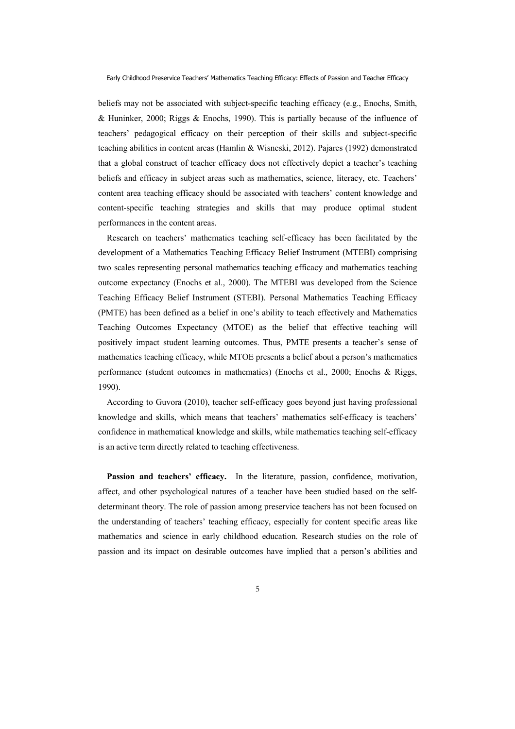beliefs may not be associated with subject-specific teaching efficacy (e.g., Enochs, Smith, & Huninker, 2000; Riggs & Enochs, 1990). This is partially because of the influence of teachers' pedagogical efficacy on their perception of their skills and subject-specific teaching abilities in content areas (Hamlin & Wisneski, 2012). Pajares (1992) demonstrated that a global construct of teacher efficacy does not effectively depict a teacher's teaching beliefs and efficacy in subject areas such as mathematics, science, literacy, etc. Teachers' content area teaching efficacy should be associated with teachers' content knowledge and content-specific teaching strategies and skills that may produce optimal student performances in the content areas.

Research on teachers' mathematics teaching self-efficacy has been facilitated by the development of a Mathematics Teaching Efficacy Belief Instrument (MTEBI) comprising two scales representing personal mathematics teaching efficacy and mathematics teaching outcome expectancy (Enochs et al., 2000). The MTEBI was developed from the Science Teaching Efficacy Belief Instrument (STEBI). Personal Mathematics Teaching Efficacy (PMTE) has been defined as a belief in one's ability to teach effectively and Mathematics Teaching Outcomes Expectancy (MTOE) as the belief that effective teaching will positively impact student learning outcomes. Thus, PMTE presents a teacher's sense of mathematics teaching efficacy, while MTOE presents a belief about a person's mathematics performance (student outcomes in mathematics) (Enochs et al., 2000; Enochs & Riggs, 1990).

According to Guvora (2010), teacher self-efficacy goes beyond just having professional knowledge and skills, which means that teachers' mathematics self-efficacy is teachers' confidence in mathematical knowledge and skills, while mathematics teaching self-efficacy is an active term directly related to teaching effectiveness.

**Passion and teachers' efficacy.** In the literature, passion, confidence, motivation, affect, and other psychological natures of a teacher have been studied based on the selfdeterminant theory. The role of passion among preservice teachers has not been focused on the understanding of teachers' teaching efficacy, especially for content specific areas like mathematics and science in early childhood education. Research studies on the role of passion and its impact on desirable outcomes have implied that a person's abilities and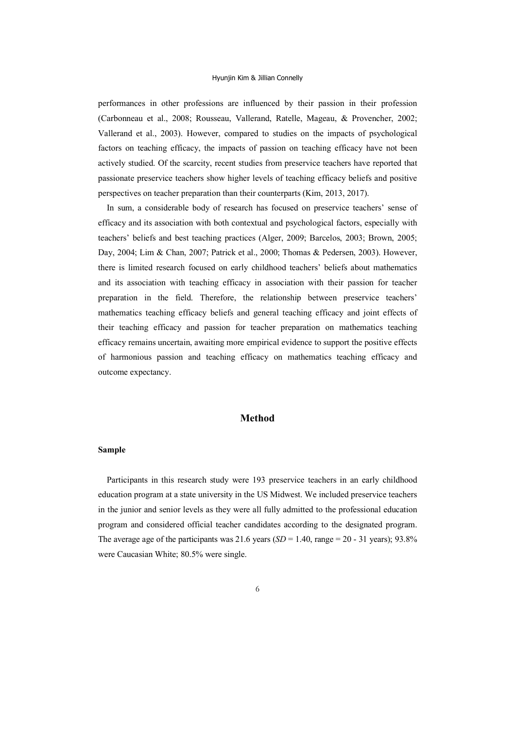performances in other professions are influenced by their passion in their profession (Carbonneau et al., 2008; Rousseau, Vallerand, Ratelle, Mageau, & Provencher, 2002; Vallerand et al., 2003). However, compared to studies on the impacts of psychological factors on teaching efficacy, the impacts of passion on teaching efficacy have not been actively studied. Of the scarcity, recent studies from preservice teachers have reported that passionate preservice teachers show higher levels of teaching efficacy beliefs and positive perspectives on teacher preparation than their counterparts (Kim, 2013, 2017).

In sum, a considerable body of research has focused on preservice teachers' sense of efficacy and its association with both contextual and psychological factors, especially with teachers' beliefs and best teaching practices (Alger, 2009; Barcelos, 2003; Brown, 2005; Day, 2004; Lim & Chan, 2007; Patrick et al., 2000; Thomas & Pedersen, 2003). However, there is limited research focused on early childhood teachers' beliefs about mathematics and its association with teaching efficacy in association with their passion for teacher preparation in the field. Therefore, the relationship between preservice teachers' mathematics teaching efficacy beliefs and general teaching efficacy and joint effects of their teaching efficacy and passion for teacher preparation on mathematics teaching efficacy remains uncertain, awaiting more empirical evidence to support the positive effects of harmonious passion and teaching efficacy on mathematics teaching efficacy and outcome expectancy.

## **Method**

# **Sample**

Participants in this research study were 193 preservice teachers in an early childhood education program at a state university in the US Midwest. We included preservice teachers in the junior and senior levels as they were all fully admitted to the professional education program and considered official teacher candidates according to the designated program. The average age of the participants was 21.6 years  $(SD = 1.40$ , range  $= 20 - 31$  years); 93.8% were Caucasian White; 80.5% were single.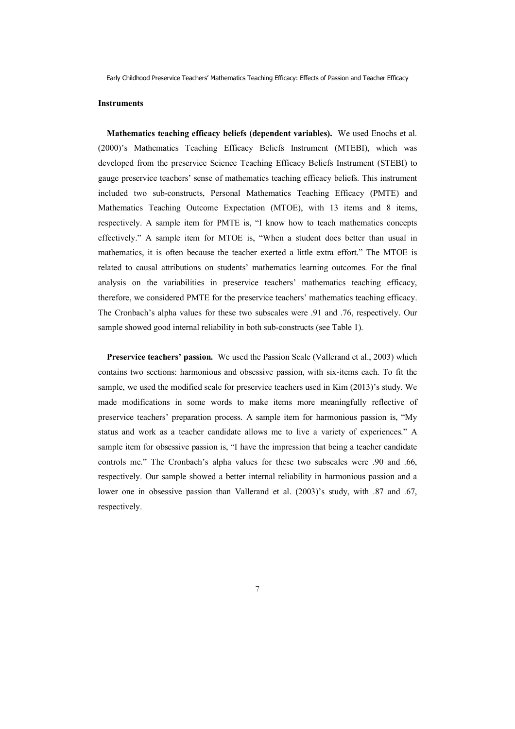#### **Instruments**

**Mathematics teaching efficacy beliefs (dependent variables).** We used Enochs et al. (2000)'s Mathematics Teaching Efficacy Beliefs Instrument (MTEBI), which was developed from the preservice Science Teaching Efficacy Beliefs Instrument (STEBI) to gauge preservice teachers' sense of mathematics teaching efficacy beliefs. This instrument included two sub-constructs, Personal Mathematics Teaching Efficacy (PMTE) and Mathematics Teaching Outcome Expectation (MTOE), with 13 items and 8 items, respectively. A sample item for PMTE is, "I know how to teach mathematics concepts effectively." A sample item for MTOE is, "When a student does better than usual in mathematics, it is often because the teacher exerted a little extra effort." The MTOE is related to causal attributions on students' mathematics learning outcomes. For the final analysis on the variabilities in preservice teachers' mathematics teaching efficacy, therefore, we considered PMTE for the preservice teachers' mathematics teaching efficacy. The Cronbach's alpha values for these two subscales were .91 and .76, respectively. Our sample showed good internal reliability in both sub-constructs (see Table 1).

**Preservice teachers' passion.** We used the Passion Scale (Vallerand et al., 2003) which contains two sections: harmonious and obsessive passion, with six-items each. To fit the sample, we used the modified scale for preservice teachers used in Kim (2013)'s study. We made modifications in some words to make items more meaningfully reflective of preservice teachers' preparation process. A sample item for harmonious passion is, "My status and work as a teacher candidate allows me to live a variety of experiences." A sample item for obsessive passion is, "I have the impression that being a teacher candidate controls me." The Cronbach's alpha values for these two subscales were .90 and .66, respectively. Our sample showed a better internal reliability in harmonious passion and a lower one in obsessive passion than Vallerand et al. (2003)'s study, with .87 and .67, respectively.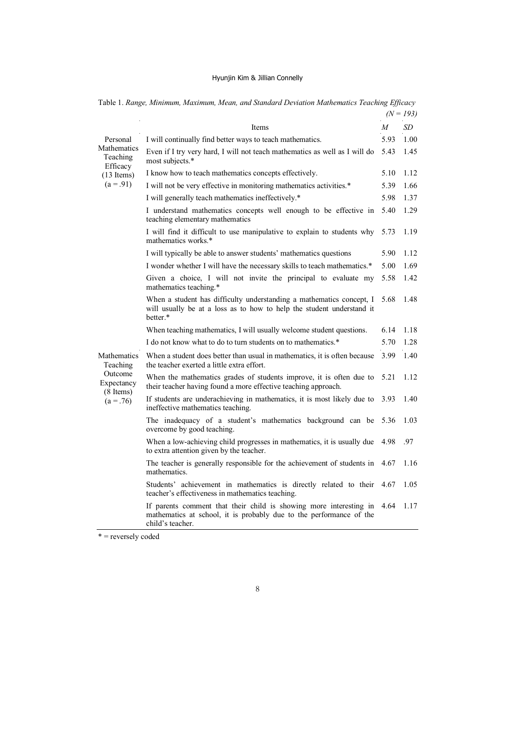|                                                                              |                                                                                                                                                               |      | $(N = 193)$ |  |
|------------------------------------------------------------------------------|---------------------------------------------------------------------------------------------------------------------------------------------------------------|------|-------------|--|
|                                                                              | Items                                                                                                                                                         | M    | SD          |  |
| Personal                                                                     | I will continually find better ways to teach mathematics.                                                                                                     | 5.93 | 1.00        |  |
| Mathematics<br>Teaching<br>Efficacy<br>$(13 \text{ items})$<br>$(a = .91)$   | Even if I try very hard, I will not teach mathematics as well as I will do<br>most subjects.*                                                                 | 5.43 | 1.45        |  |
|                                                                              | I know how to teach mathematics concepts effectively.                                                                                                         | 5.10 | 1.12        |  |
|                                                                              | I will not be very effective in monitoring mathematics activities.*                                                                                           | 5.39 | 1.66        |  |
|                                                                              | I will generally teach mathematics ineffectively.*<br>5.98                                                                                                    |      |             |  |
|                                                                              | I understand mathematics concepts well enough to be effective in<br>teaching elementary mathematics                                                           | 5.40 | 1.29        |  |
|                                                                              | I will find it difficult to use manipulative to explain to students why<br>mathematics works.*                                                                | 5.73 | 1.19        |  |
|                                                                              | I will typically be able to answer students' mathematics questions                                                                                            | 5.90 | 1.12        |  |
|                                                                              | I wonder whether I will have the necessary skills to teach mathematics.*                                                                                      | 5.00 | 1.69        |  |
|                                                                              | Given a choice, I will not invite the principal to evaluate my<br>mathematics teaching.*                                                                      | 5.58 | 1.42        |  |
|                                                                              | When a student has difficulty understanding a mathematics concept, I<br>will usually be at a loss as to how to help the student understand it<br>better.*     | 5.68 | 1.48        |  |
|                                                                              | When teaching mathematics, I will usually welcome student questions.                                                                                          | 6.14 | 1.18        |  |
|                                                                              | I do not know what to do to turn students on to mathematics.*                                                                                                 | 5.70 | 1.28        |  |
| Mathematics<br>Teaching<br>Outcome<br>Expectancy<br>(8 Items)<br>$(a = .76)$ | When a student does better than usual in mathematics, it is often because<br>the teacher exerted a little extra effort.                                       | 3.99 | 1.40        |  |
|                                                                              | When the mathematics grades of students improve, it is often due to<br>their teacher having found a more effective teaching approach.                         | 5.21 | 1.12        |  |
|                                                                              | If students are underachieving in mathematics, it is most likely due to<br>ineffective mathematics teaching.                                                  | 3.93 | 1.40        |  |
|                                                                              | The inadequacy of a student's mathematics background can be<br>overcome by good teaching.                                                                     | 5.36 | 1.03        |  |
|                                                                              | When a low-achieving child progresses in mathematics, it is usually due<br>to extra attention given by the teacher.                                           | 4.98 | .97         |  |
|                                                                              | The teacher is generally responsible for the achievement of students in<br>mathematics.                                                                       | 4.67 | 1.16        |  |
|                                                                              | Students' achievement in mathematics is directly related to their<br>teacher's effectiveness in mathematics teaching.                                         | 4.67 | 1.05        |  |
|                                                                              | If parents comment that their child is showing more interesting in<br>mathematics at school, it is probably due to the performance of the<br>child's teacher. | 4.64 | 1.17        |  |

Table 1. *Range, Minimum, Maximum, Mean, and Standard Deviation Mathematics Teaching Efficacy* 

 $*$  = reversely coded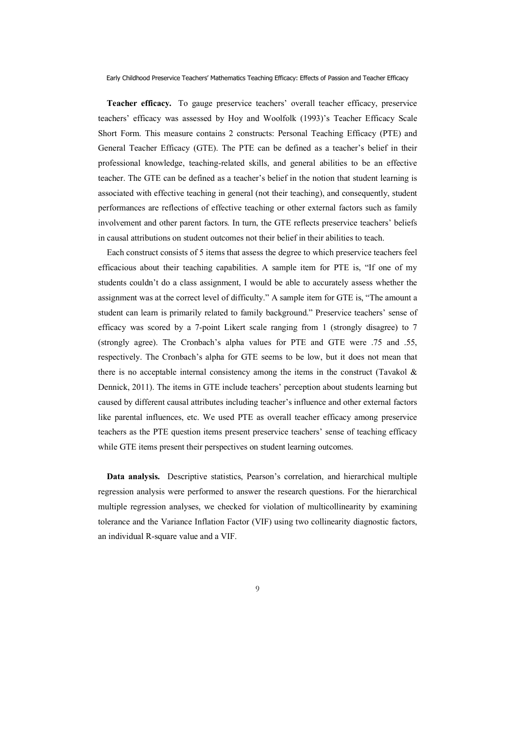**Teacher efficacy.** To gauge preservice teachers' overall teacher efficacy, preservice teachers' efficacy was assessed by Hoy and Woolfolk (1993)'s Teacher Efficacy Scale Short Form. This measure contains 2 constructs: Personal Teaching Efficacy (PTE) and General Teacher Efficacy (GTE). The PTE can be defined as a teacher's belief in their professional knowledge, teaching-related skills, and general abilities to be an effective teacher. The GTE can be defined as a teacher's belief in the notion that student learning is associated with effective teaching in general (not their teaching), and consequently, student performances are reflections of effective teaching or other external factors such as family involvement and other parent factors. In turn, the GTE reflects preservice teachers' beliefs in causal attributions on student outcomes not their belief in their abilities to teach.

Each construct consists of 5 items that assess the degree to which preservice teachers feel efficacious about their teaching capabilities. A sample item for PTE is, "If one of my students couldn't do a class assignment, I would be able to accurately assess whether the assignment was at the correct level of difficulty." A sample item for GTE is, "The amount a student can learn is primarily related to family background." Preservice teachers' sense of efficacy was scored by a 7-point Likert scale ranging from 1 (strongly disagree) to 7 (strongly agree). The Cronbach's alpha values for PTE and GTE were .75 and .55, respectively. The Cronbach's alpha for GTE seems to be low, but it does not mean that there is no acceptable internal consistency among the items in the construct (Tavakol  $\&$ Dennick, 2011). The items in GTE include teachers' perception about students learning but caused by different causal attributes including teacher's influence and other external factors like parental influences, etc. We used PTE as overall teacher efficacy among preservice teachers as the PTE question items present preservice teachers' sense of teaching efficacy while GTE items present their perspectives on student learning outcomes.

**Data analysis.** Descriptive statistics, Pearson's correlation, and hierarchical multiple regression analysis were performed to answer the research questions. For the hierarchical multiple regression analyses, we checked for violation of multicollinearity by examining tolerance and the Variance Inflation Factor (VIF) using two collinearity diagnostic factors, an individual R-square value and a VIF.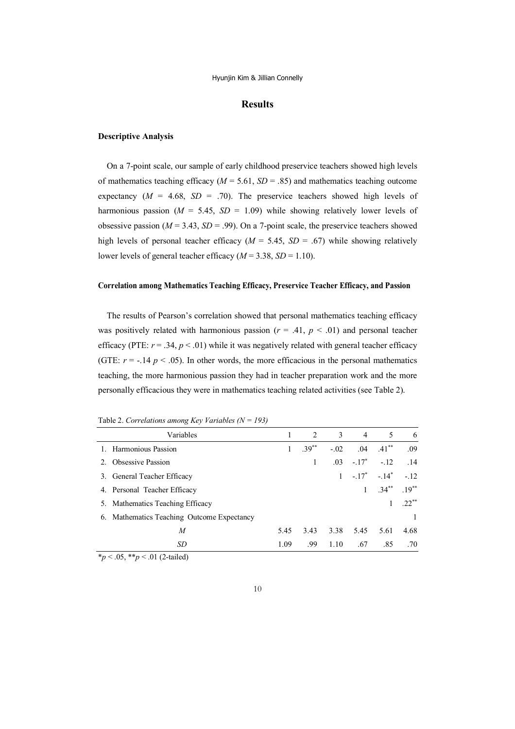# **Results**

#### **Descriptive Analysis**

On a 7-point scale, our sample of early childhood preservice teachers showed high levels of mathematics teaching efficacy ( $M = 5.61$ ,  $SD = .85$ ) and mathematics teaching outcome expectancy  $(M = 4.68, SD = .70)$ . The preservice teachers showed high levels of harmonious passion ( $M = 5.45$ ,  $SD = 1.09$ ) while showing relatively lower levels of obsessive passion ( $M = 3.43$ ,  $SD = .99$ ). On a 7-point scale, the preservice teachers showed high levels of personal teacher efficacy ( $M = 5.45$ ,  $SD = .67$ ) while showing relatively lower levels of general teacher efficacy ( $M = 3.38$ ,  $SD = 1.10$ ).

### **Correlation among Mathematics Teaching Efficacy, Preservice Teacher Efficacy, and Passion**

The results of Pearson's correlation showed that personal mathematics teaching efficacy was positively related with harmonious passion ( $r = .41$ ,  $p < .01$ ) and personal teacher efficacy (PTE:  $r = .34$ ,  $p < .01$ ) while it was negatively related with general teacher efficacy (GTE:  $r = -.14$   $p < .05$ ). In other words, the more efficacious in the personal mathematics teaching, the more harmonious passion they had in teacher preparation work and the more personally efficacious they were in mathematics teaching related activities (see Table 2).

| Variables                                  |      | 2         | 3            | $\overline{4}$ | 5                 | 6            |
|--------------------------------------------|------|-----------|--------------|----------------|-------------------|--------------|
| 1. Harmonious Passion                      | 1    | $39^{**}$ | $-.02$       | .04            | $.41***$          | .09          |
| 2. Obsessive Passion                       |      | 1         |              | $.03 - .17^*$  | $-.12$            | .14          |
| 3. General Teacher Efficacy                |      |           | $\mathbf{1}$ |                | $-.17^* - .14^*$  | $-12$        |
| 4. Personal Teacher Efficacy               |      |           |              | 1              | $.34***$ $.19***$ |              |
| 5. Mathematics Teaching Efficacy           |      |           |              |                |                   | $22^{**}$    |
| 6. Mathematics Teaching Outcome Expectancy |      |           |              |                |                   | $\mathbf{1}$ |
| M                                          | 5.45 | 3.43      | 3.38         | 5.45           | 5.61              | 4.68         |
| SD                                         | 1.09 | -99       | 1.10         | .67            | .85               | .70          |

Table 2. *Correlations among Key Variables (N = 193)*

\**p* < .05, \*\**p* < .01 (2-tailed)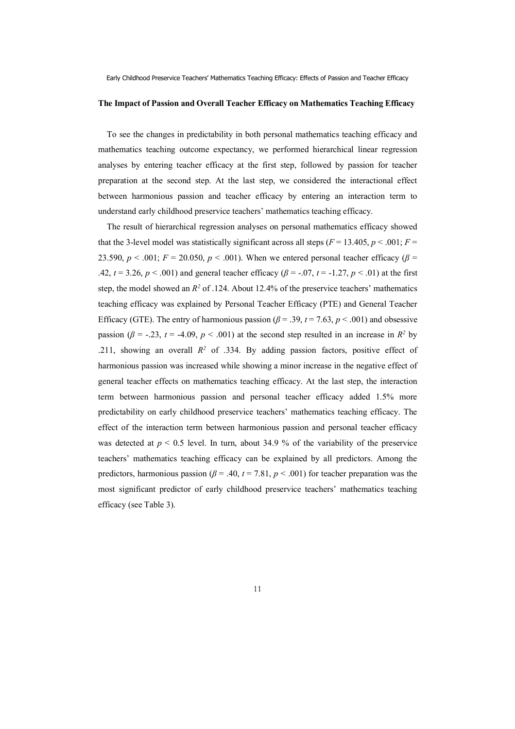#### **The Impact of Passion and Overall Teacher Efficacy on Mathematics Teaching Efficacy**

To see the changes in predictability in both personal mathematics teaching efficacy and mathematics teaching outcome expectancy, we performed hierarchical linear regression analyses by entering teacher efficacy at the first step, followed by passion for teacher preparation at the second step. At the last step, we considered the interactional effect between harmonious passion and teacher efficacy by entering an interaction term to understand early childhood preservice teachers' mathematics teaching efficacy.

The result of hierarchical regression analyses on personal mathematics efficacy showed that the 3-level model was statistically significant across all steps ( $F = 13.405$ ,  $p < .001$ ;  $F =$ 23.590,  $p < .001$ ;  $F = 20.050$ ,  $p < .001$ ). When we entered personal teacher efficacy ( $\beta$  = .42,  $t = 3.26$ ,  $p < .001$ ) and general teacher efficacy ( $\beta = -.07$ ,  $t = -1.27$ ,  $p < .01$ ) at the first step, the model showed an  $R^2$  of .124. About 12.4% of the preservice teachers' mathematics teaching efficacy was explained by Personal Teacher Efficacy (PTE) and General Teacher Efficacy (GTE). The entry of harmonious passion ( $\beta$  = .39,  $t$  = 7.63,  $p$  < .001) and obsessive passion ( $\beta$  = -.23, *t* = -4.09, *p* < .001) at the second step resulted in an increase in *R*<sup>2</sup> by .211, showing an overall  $R^2$  of .334. By adding passion factors, positive effect of harmonious passion was increased while showing a minor increase in the negative effect of general teacher effects on mathematics teaching efficacy. At the last step, the interaction term between harmonious passion and personal teacher efficacy added 1.5% more predictability on early childhood preservice teachers' mathematics teaching efficacy. The effect of the interaction term between harmonious passion and personal teacher efficacy was detected at  $p < 0.5$  level. In turn, about 34.9 % of the variability of the preservice teachers' mathematics teaching efficacy can be explained by all predictors. Among the predictors, harmonious passion ( $\beta$  = .40,  $t$  = 7.81,  $p$  < .001) for teacher preparation was the most significant predictor of early childhood preservice teachers' mathematics teaching efficacy (see Table 3).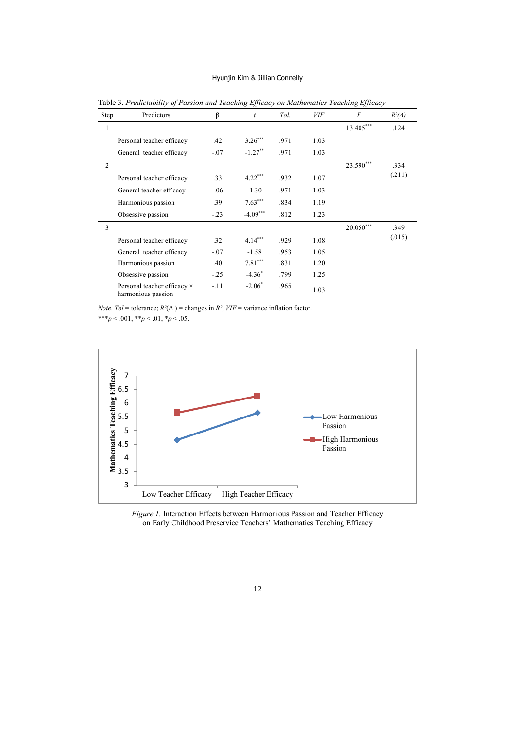| <b>Step</b>    | Predictors                                        | β      | t          | Tol. | <i>VIF</i> | $\overline{F}$ | $R^2(\Delta)$ |
|----------------|---------------------------------------------------|--------|------------|------|------------|----------------|---------------|
| 1              |                                                   |        |            |      |            | $13.405***$    | .124          |
|                | Personal teacher efficacy                         | .42    | $3.26***$  | .971 | 1.03       |                |               |
|                | General teacher efficacy                          | $-.07$ | $-1.27***$ | .971 | 1.03       |                |               |
| $\overline{2}$ |                                                   |        |            |      |            | 23.590***      | .334          |
|                | Personal teacher efficacy                         | .33    | $4.22***$  | .932 | 1.07       |                | (.211)        |
|                | General teacher efficacy                          | $-.06$ | $-1.30$    | .971 | 1.03       |                |               |
|                | Harmonious passion                                | .39    | $7.63***$  | .834 | 1.19       |                |               |
|                | Obsessive passion                                 | $-.23$ | $-4.09***$ | .812 | 1.23       |                |               |
| 3              |                                                   |        |            |      |            | $20.050***$    | .349          |
|                | Personal teacher efficacy                         | .32    | $4.14***$  | .929 | 1.08       |                | (.015)        |
|                | General teacher efficacy                          | $-.07$ | $-1.58$    | .953 | 1.05       |                |               |
|                | Harmonious passion                                | .40    | $7.81***$  | .831 | 1.20       |                |               |
|                | Obsessive passion                                 | $-.25$ | $-4.36^*$  | .799 | 1.25       |                |               |
|                | Personal teacher efficacy ×<br>harmonious passion | $-.11$ | $-2.06*$   | .965 | 1.03       |                |               |

Table 3. *Predictability of Passion and Teaching Efficacy on Mathematics Teaching Efficacy*

*Note. Tol* = tolerance;  $R^2(\Delta)$  = changes in  $R^2$ ;  $VIF$  = variance inflation factor.

\*\*\**p* < .001, \*\**p* < .01, \**p* < .05.



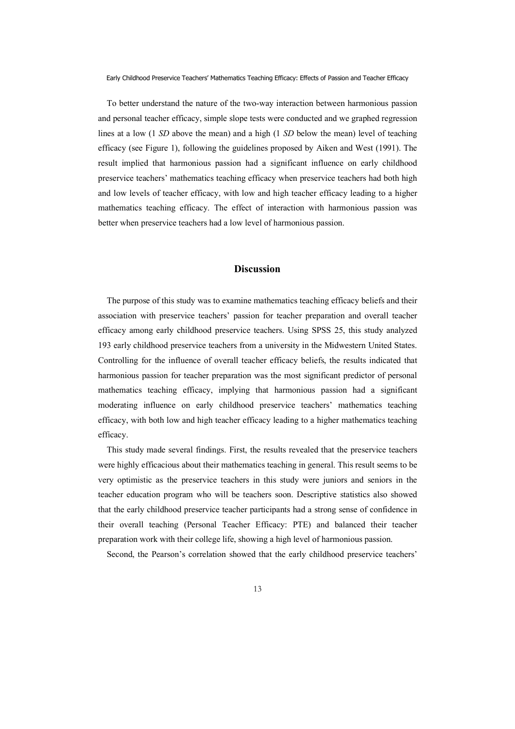To better understand the nature of the two-way interaction between harmonious passion and personal teacher efficacy, simple slope tests were conducted and we graphed regression lines at a low (1 *SD* above the mean) and a high (1 *SD* below the mean) level of teaching efficacy (see Figure 1), following the guidelines proposed by Aiken and West (1991). The result implied that harmonious passion had a significant influence on early childhood preservice teachers' mathematics teaching efficacy when preservice teachers had both high and low levels of teacher efficacy, with low and high teacher efficacy leading to a higher mathematics teaching efficacy. The effect of interaction with harmonious passion was better when preservice teachers had a low level of harmonious passion.

# **Discussion**

The purpose of this study was to examine mathematics teaching efficacy beliefs and their association with preservice teachers' passion for teacher preparation and overall teacher efficacy among early childhood preservice teachers. Using SPSS 25, this study analyzed 193 early childhood preservice teachers from a university in the Midwestern United States. Controlling for the influence of overall teacher efficacy beliefs, the results indicated that harmonious passion for teacher preparation was the most significant predictor of personal mathematics teaching efficacy, implying that harmonious passion had a significant moderating influence on early childhood preservice teachers' mathematics teaching efficacy, with both low and high teacher efficacy leading to a higher mathematics teaching efficacy.

This study made several findings. First, the results revealed that the preservice teachers were highly efficacious about their mathematics teaching in general. This result seems to be very optimistic as the preservice teachers in this study were juniors and seniors in the teacher education program who will be teachers soon. Descriptive statistics also showed that the early childhood preservice teacher participants had a strong sense of confidence in their overall teaching (Personal Teacher Efficacy: PTE) and balanced their teacher preparation work with their college life, showing a high level of harmonious passion.

Second, the Pearson's correlation showed that the early childhood preservice teachers'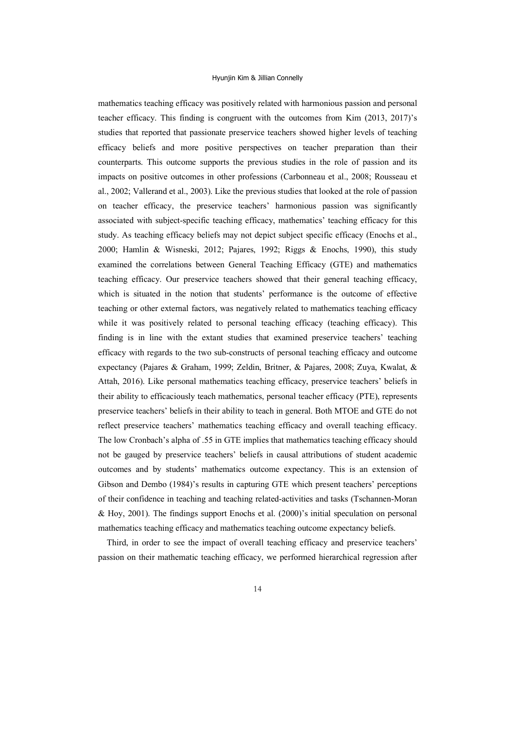mathematics teaching efficacy was positively related with harmonious passion and personal teacher efficacy. This finding is congruent with the outcomes from Kim (2013, 2017)'s studies that reported that passionate preservice teachers showed higher levels of teaching efficacy beliefs and more positive perspectives on teacher preparation than their counterparts. This outcome supports the previous studies in the role of passion and its impacts on positive outcomes in other professions (Carbonneau et al., 2008; Rousseau et al., 2002; Vallerand et al., 2003). Like the previous studies that looked at the role of passion on teacher efficacy, the preservice teachers' harmonious passion was significantly associated with subject-specific teaching efficacy, mathematics' teaching efficacy for this study. As teaching efficacy beliefs may not depict subject specific efficacy (Enochs et al., 2000; Hamlin & Wisneski, 2012; Pajares, 1992; Riggs & Enochs, 1990), this study examined the correlations between General Teaching Efficacy (GTE) and mathematics teaching efficacy. Our preservice teachers showed that their general teaching efficacy, which is situated in the notion that students' performance is the outcome of effective teaching or other external factors, was negatively related to mathematics teaching efficacy while it was positively related to personal teaching efficacy (teaching efficacy). This finding is in line with the extant studies that examined preservice teachers' teaching efficacy with regards to the two sub-constructs of personal teaching efficacy and outcome expectancy (Pajares & Graham, 1999; Zeldin, Britner, & Pajares, 2008; Zuya, Kwalat, & Attah, 2016). Like personal mathematics teaching efficacy, preservice teachers' beliefs in their ability to efficaciously teach mathematics, personal teacher efficacy (PTE), represents preservice teachers' beliefs in their ability to teach in general. Both MTOE and GTE do not reflect preservice teachers' mathematics teaching efficacy and overall teaching efficacy. The low Cronbach's alpha of .55 in GTE implies that mathematics teaching efficacy should not be gauged by preservice teachers' beliefs in causal attributions of student academic outcomes and by students' mathematics outcome expectancy. This is an extension of Gibson and Dembo (1984)'s results in capturing GTE which present teachers' perceptions of their confidence in teaching and teaching related-activities and tasks (Tschannen-Moran & Hoy, 2001). The findings support Enochs et al. (2000)'s initial speculation on personal mathematics teaching efficacy and mathematics teaching outcome expectancy beliefs.

Third, in order to see the impact of overall teaching efficacy and preservice teachers' passion on their mathematic teaching efficacy, we performed hierarchical regression after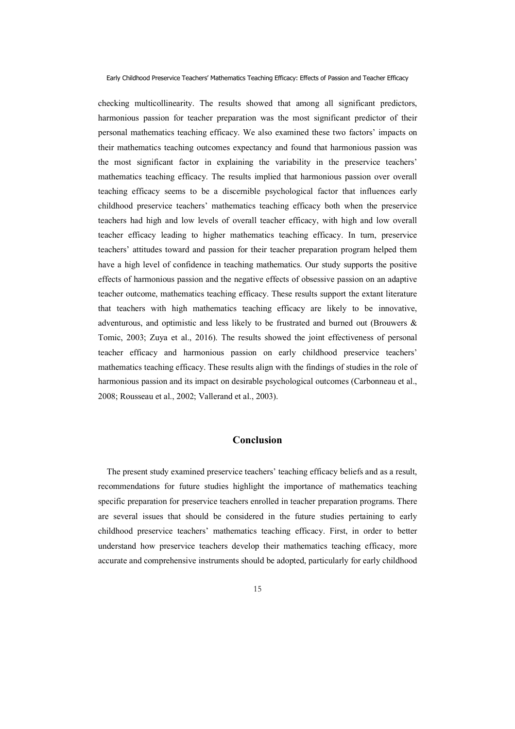checking multicollinearity. The results showed that among all significant predictors, harmonious passion for teacher preparation was the most significant predictor of their personal mathematics teaching efficacy. We also examined these two factors' impacts on their mathematics teaching outcomes expectancy and found that harmonious passion was the most significant factor in explaining the variability in the preservice teachers' mathematics teaching efficacy. The results implied that harmonious passion over overall teaching efficacy seems to be a discernible psychological factor that influences early childhood preservice teachers' mathematics teaching efficacy both when the preservice teachers had high and low levels of overall teacher efficacy, with high and low overall teacher efficacy leading to higher mathematics teaching efficacy. In turn, preservice teachers' attitudes toward and passion for their teacher preparation program helped them have a high level of confidence in teaching mathematics. Our study supports the positive effects of harmonious passion and the negative effects of obsessive passion on an adaptive teacher outcome, mathematics teaching efficacy. These results support the extant literature that teachers with high mathematics teaching efficacy are likely to be innovative, adventurous, and optimistic and less likely to be frustrated and burned out (Brouwers & Tomic, 2003; Zuya et al., 2016). The results showed the joint effectiveness of personal teacher efficacy and harmonious passion on early childhood preservice teachers' mathematics teaching efficacy. These results align with the findings of studies in the role of harmonious passion and its impact on desirable psychological outcomes (Carbonneau et al., 2008; Rousseau et al., 2002; Vallerand et al., 2003).

# **Conclusion**

The present study examined preservice teachers' teaching efficacy beliefs and as a result, recommendations for future studies highlight the importance of mathematics teaching specific preparation for preservice teachers enrolled in teacher preparation programs. There are several issues that should be considered in the future studies pertaining to early childhood preservice teachers' mathematics teaching efficacy. First, in order to better understand how preservice teachers develop their mathematics teaching efficacy, more accurate and comprehensive instruments should be adopted, particularly for early childhood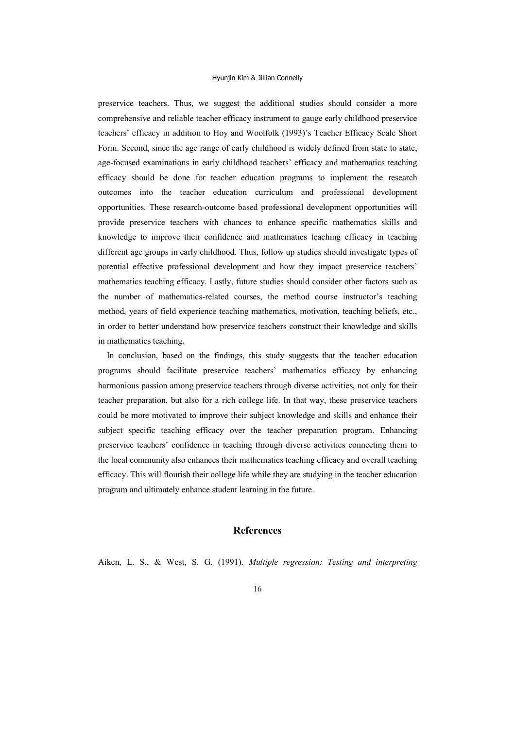preservice teachers. Thus, we suggest the additional studies should consider a more comprehensive and reliable teacher efficacy instrument to gauge early childhood preservice teachers' efficacy in addition to Hoy and Woolfolk (1993)'s Teacher Efficacy Scale Short Form. Second, since the age range of early childhood is widely defined from state to state, age-focused examinations in early childhood teachers' efficacy and mathematics teaching efficacy should be done for teacher education programs to implement the research outcomes into the teacher education curriculum and professional development opportunities. These research-outcome based professional development opportunities will provide preservice teachers with chances to enhance specific mathematics skills and knowledge to improve their confidence and mathematics teaching efficacy in teaching different age groups in early childhood. Thus, follow up studies should investigate types of potential effective professional development and how they impact preservice teachers' mathematics teaching efficacy. Lastly, future studies should consider other factors such as the number of mathematics-related courses, the method course instructor's teaching method, years of field experience teaching mathematics, motivation, teaching beliefs, etc., in order to better understand how preservice teachers construct their knowledge and skills in mathematics teaching.

In conclusion, based on the findings, this study suggests that the teacher education programs should facilitate preservice teachers' mathematics efficacy by enhancing harmonious passion among preservice teachers through diverse activities, not only for their teacher preparation, but also for a rich college life. In that way, these preservice teachers could be more motivated to improve their subject knowledge and skills and enhance their subject specific teaching efficacy over the teacher preparation program. Enhancing preservice teachers' confidence in teaching through diverse activities connecting them to the local community also enhances their mathematics teaching efficacy and overall teaching efficacy. This will flourish their college life while they are studying in the teacher education program and ultimately enhance student learning in the future.

# **References**

Aiken, L. S., & West, S. G. (1991). *Multiple regression: Testing and interpreting*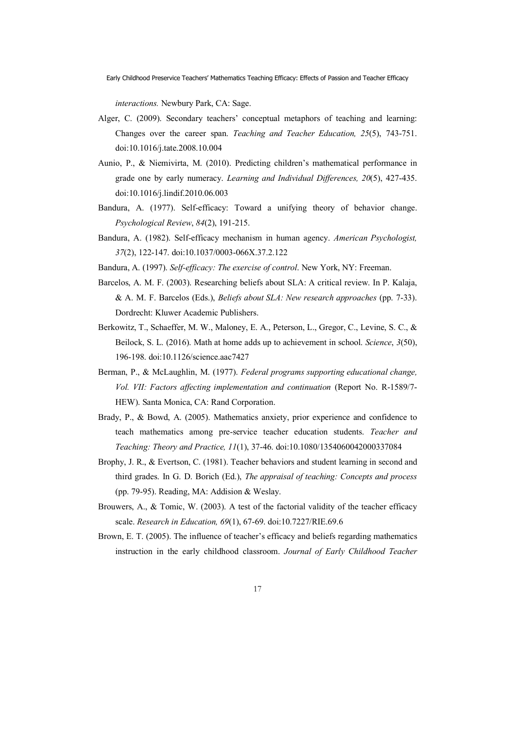*interactions.* Newbury Park, CA: Sage.

- Alger, C. (2009). Secondary teachers' conceptual metaphors of teaching and learning: Changes over the career span. *Teaching and Teacher Education, 25*(5), 743-751. doi:10.1016/j.tate.2008.10.004
- Aunio, P., & Niemivirta, M. (2010). Predicting children's mathematical performance in grade one by early numeracy. *Learning and Individual Differences, 20*(5), 427-435. doi:10.1016/j.lindif.2010.06.003
- Bandura, A. (1977). Self-efficacy: Toward a unifying theory of behavior change. *Psychological Review*, *84*(2), 191-215.
- Bandura, A. (1982). Self-efficacy mechanism in human agency. *American Psychologist, 37*(2), 122-147. doi:10.1037/0003-066X.37.2.122
- Bandura, A. (1997). *Self-efficacy: The exercise of control*. New York, NY: Freeman.
- Barcelos, A. M. F. (2003). Researching beliefs about SLA: A critical review. In P. Kalaja, & A. M. F. Barcelos (Eds.), *Beliefs about SLA: New research approaches* (pp. 7-33). Dordrecht: Kluwer Academic Publishers.
- Berkowitz, T., Schaeffer, M. W., Maloney, E. A., Peterson, L., Gregor, C., Levine, S. C., & Beilock, S. L. (2016). Math at home adds up to achievement in school. *Science*, *3*(50), 196-198. doi:10.1126/science.aac7427
- Berman, P., & McLaughlin, M. (1977). *Federal programs supporting educational change, Vol. VII: Factors affecting implementation and continuation* (Report No. R-1589/7- HEW). Santa Monica, CA: Rand Corporation.
- Brady, P., & Bowd, A. (2005). Mathematics anxiety, prior experience and confidence to teach mathematics among pre-service teacher education students. *Teacher and Teaching: Theory and Practice, 11*(1), 37-46. doi:10.1080/1354060042000337084
- Brophy, J. R., & Evertson, C. (1981). Teacher behaviors and student learning in second and third grades. In G. D. Borich (Ed.), *The appraisal of teaching: Concepts and process* (pp. 79-95). Reading, MA: Addision & Weslay.
- Brouwers, A., & Tomic, W. (2003). A test of the factorial validity of the teacher efficacy scale. *Research in Education, 69*(1), 67-69. doi:10.7227/RIE.69.6
- Brown, E. T. (2005). The influence of teacher's efficacy and beliefs regarding mathematics instruction in the early childhood classroom. *Journal of Early Childhood Teacher*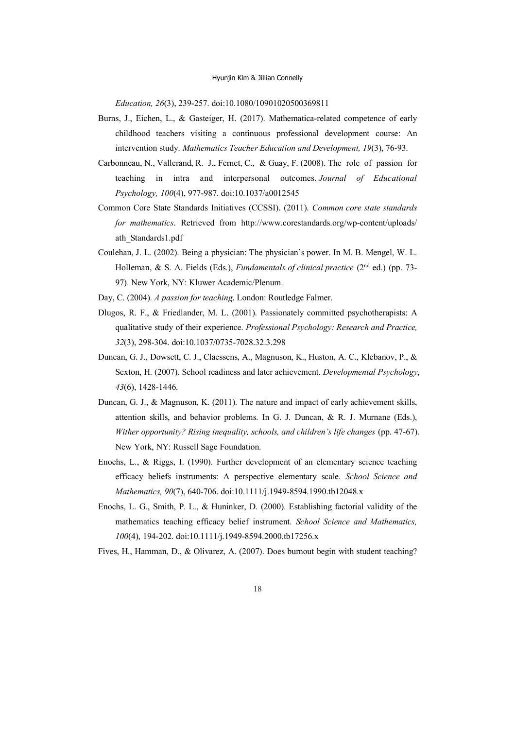*Education, 26*(3), 239-257. doi:10.1080/10901020500369811

- Burns, J., Eichen, L., & Gasteiger, H. (2017). Mathematica-related competence of early childhood teachers visiting a continuous professional development course: An intervention study. *Mathematics Teacher Education and Development, 19*(3), 76-93.
- Carbonneau, N., Vallerand, R. J., Fernet, C., & Guay, F. (2008). The role of passion for teaching in intra and interpersonal outcomes. *Journal of Educational Psychology, 100*(4), 977-987. doi:10.1037/a0012545
- Common Core State Standards Initiatives (CCSSI). (2011). *Common core state standards for mathematics*. Retrieved from http://www.corestandards.org/wp-content/uploads/ ath\_Standards1.pdf
- Coulehan, J. L. (2002). Being a physician: The physician's power. In M. B. Mengel, W. L. Holleman, & S. A. Fields (Eds.), *Fundamentals of clinical practice* (2<sup>nd</sup> ed.) (pp. 73-97). New York, NY: Kluwer Academic/Plenum.
- Day, C. (2004). *A passion for teaching*. London: Routledge Falmer.
- Dlugos, R. F., & Friedlander, M. L. (2001). Passionately committed psychotherapists: A qualitative study of their experience. *Professional Psychology: Research and Practice, 32*(3), 298-304. doi:10.1037/0735-7028.32.3.298
- Duncan, G. J., Dowsett, C. J., Claessens, A., Magnuson, K., Huston, A. C., Klebanov, P., & Sexton, H. (2007). School readiness and later achievement. *Developmental Psychology*, *43*(6), 1428-1446.
- Duncan, G. J., & Magnuson, K. (2011). The nature and impact of early achievement skills, attention skills, and behavior problems. In G. J. Duncan, & R. J. Murnane (Eds.), *Wither opportunity? Rising inequality, schools, and children's life changes* (pp. 47-67). New York, NY: Russell Sage Foundation.
- Enochs, L., & Riggs, I. (1990). Further development of an elementary science teaching efficacy beliefs instruments: A perspective elementary scale. *School Science and Mathematics, 90*(7), 640-706. doi:10.1111/j.1949-8594.1990.tb12048.x
- Enochs, L. G., Smith, P. L., & Huninker, D. (2000). Establishing factorial validity of the mathematics teaching efficacy belief instrument. *School Science and Mathematics, 100*(4), 194-202. doi:10.1111/j.1949-8594.2000.tb17256.x
- Fives, H., Hamman, D., & Olivarez, A. (2007). Does burnout begin with student teaching?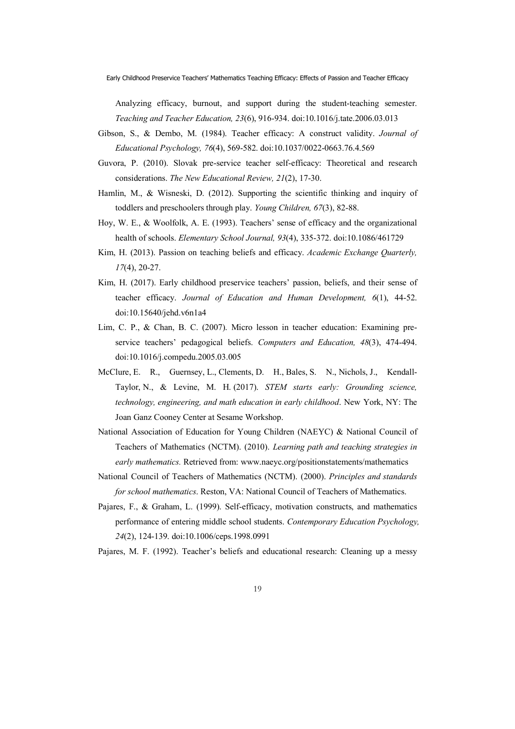Analyzing efficacy, burnout, and support during the student-teaching semester. *Teaching and Teacher Education, 23*(6), 916-934. doi:10.1016/j.tate.2006.03.013

- Gibson, S., & Dembo, M. (1984). Teacher efficacy: A construct validity. *Journal of Educational Psychology, 76*(4), 569-582. doi:10.1037/0022-0663.76.4.569
- Guvora, P. (2010). Slovak pre-service teacher self-efficacy: Theoretical and research considerations. *The New Educational Review, 21*(2), 17-30.
- Hamlin, M., & Wisneski, D. (2012). Supporting the scientific thinking and inquiry of toddlers and preschoolers through play. *Young Children, 67*(3), 82-88.
- Hoy, W. E., & Woolfolk, A. E. (1993). Teachers' sense of efficacy and the organizational health of schools. *Elementary School Journal, 93*(4), 335-372. doi:10.1086/461729
- Kim, H. (2013). Passion on teaching beliefs and efficacy. *Academic Exchange Quarterly, 17*(4), 20-27.
- Kim, H. (2017). Early childhood preservice teachers' passion, beliefs, and their sense of teacher efficacy. *Journal of Education and Human Development, 6*(1), 44-52. doi:10.15640/jehd.v6n1a4
- Lim, C. P., & Chan, B. C. (2007). Micro lesson in teacher education: Examining preservice teachers' pedagogical beliefs. *Computers and Education, 48*(3), 474-494. doi:10.1016/j.compedu.2005.03.005
- McClure, E. R., Guernsey, L., Clements, D. H., Bales, S. N., Nichols, J., Kendall-Taylor, N., & Levine, M. H. (2017). *STEM starts early: Grounding science, technology, engineering, and math education in early childhood*. New York, NY: The Joan Ganz Cooney Center at Sesame Workshop.
- National Association of Education for Young Children (NAEYC) & National Council of Teachers of Mathematics (NCTM). (2010). *Learning path and teaching strategies in early mathematics.* Retrieved from: www.naeyc.org/positionstatements/mathematics
- National Council of Teachers of Mathematics (NCTM). (2000). *Principles and standards for school mathematics*. Reston, VA: National Council of Teachers of Mathematics.
- Pajares, F., & Graham, L. (1999). Self-efficacy, motivation constructs, and mathematics performance of entering middle school students. *Contemporary Education Psychology, 24*(2), 124-139. doi:10.1006/ceps.1998.0991
- Pajares, M. F. (1992). Teacher's beliefs and educational research: Cleaning up a messy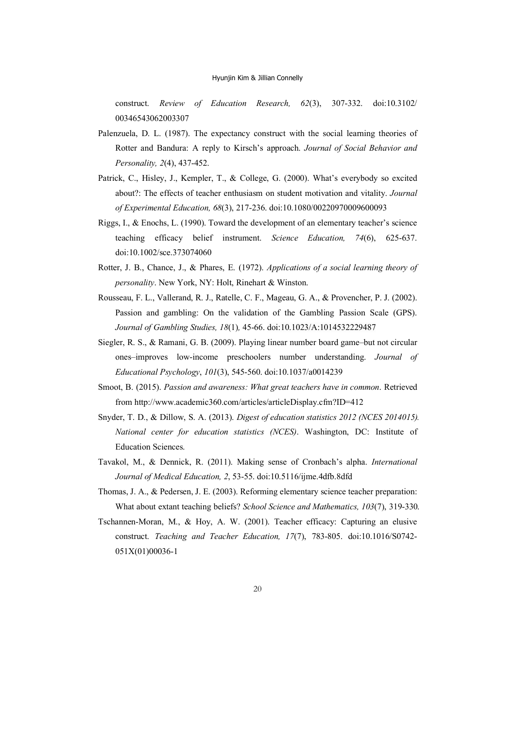construct. *Review of Education Research, 62*(3), 307-332. doi:10.3102/ 00346543062003307

- Palenzuela, D. L. (1987). The expectancy construct with the social learning theories of Rotter and Bandura: A reply to Kirsch's approach. *Journal of Social Behavior and Personality, 2*(4), 437-452.
- Patrick, C., Hisley, J., Kempler, T., & College, G. (2000). What's everybody so excited about?: The effects of teacher enthusiasm on student motivation and vitality. *Journal of Experimental Education, 68*(3), 217-236. doi:10.1080/00220970009600093
- Riggs, I., & Enochs, L. (1990). Toward the development of an elementary teacher's science teaching efficacy belief instrument. *Science Education, 74*(6), 625-637. doi:10.1002/sce.373074060
- Rotter, J. B., Chance, J., & Phares, E. (1972). *Applications of a social learning theory of personality*. New York, NY: Holt, Rinehart & Winston.
- Rousseau, F. L., Vallerand, R. J., Ratelle, C. F., Mageau, G. A., & Provencher, P. J. (2002). Passion and gambling: On the validation of the Gambling Passion Scale (GPS). *Journal of Gambling Studies, 18*(1)*,* 45-66. doi:10.1023/A:1014532229487
- Siegler, R. S., & Ramani, G. B. (2009). Playing linear number board game–but not circular ones–improves low-income preschoolers number understanding. *Journal of Educational Psychology*, *101*(3), 545-560. doi:10.1037/a0014239
- Smoot, B. (2015). *Passion and awareness: What great teachers have in common*. Retrieved from http://www.academic360.com/articles/articleDisplay.cfm?ID=412
- Snyder, T. D., & Dillow, S. A. (2013). *Digest of education statistics 2012 (NCES 2014015). National center for education statistics (NCES)*. Washington, DC: Institute of Education Sciences.
- Tavakol, M., & Dennick, R. (2011). Making sense of Cronbach's alpha. *International Journal of Medical Education, 2*, 53-55. doi:10.5116/ijme.4dfb.8dfd
- Thomas, J. A., & Pedersen, J. E. (2003). Reforming elementary science teacher preparation: What about extant teaching beliefs? *School Science and Mathematics, 103*(7), 319-330.
- Tschannen-Moran, M., & Hoy, A. W. (2001). Teacher efficacy: Capturing an elusive construct. *Teaching and Teacher Education, 17*(7), 783-805. doi:10.1016/S0742- 051X(01)00036-1